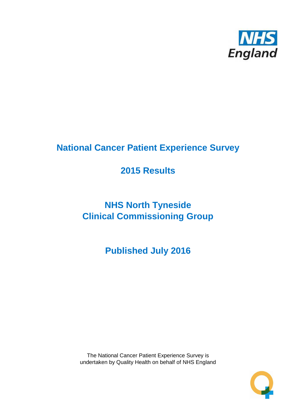

# **National Cancer Patient Experience Survey**

# **2015 Results**

# **NHS North Tyneside Clinical Commissioning Group**

**Published July 2016**

The National Cancer Patient Experience Survey is undertaken by Quality Health on behalf of NHS England

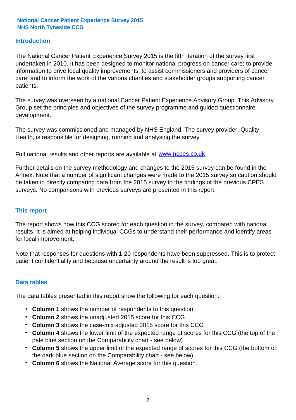#### **Introduction**

The National Cancer Patient Experience Survey 2015 is the fifth iteration of the survey first undertaken in 2010. It has been designed to monitor national progress on cancer care; to provide information to drive local quality improvements; to assist commissioners and providers of cancer care; and to inform the work of the various charities and stakeholder groups supporting cancer patients.

The survey was overseen by a national Cancer Patient Experience Advisory Group. This Advisory Group set the principles and objectives of the survey programme and guided questionnaire development.

The survey was commissioned and managed by NHS England. The survey provider, Quality Health, is responsible for designing, running and analysing the survey.

Full national results and other reports are available at www.ncpes.co.uk

Further details on the survey methodology and changes to the 2015 survey can be found in the Annex. Note that a number of significant changes were made to the 2015 survey so caution should be taken in directly comparing data from the 2015 survey to the findings of the previous CPES surveys. No comparisons with previous surveys are presented in this report.

#### **This report**

The report shows how this CCG scored for each question in the survey, compared with national results. It is aimed at helping individual CCGs to understand their performance and identify areas for local improvement.

Note that responses for questions with 1-20 respondents have been suppressed. This is to protect patient confidentiality and because uncertainty around the result is too great.

#### **Data tables**

The data tables presented in this report show the following for each question:

- **Column 1** shows the number of respondents to this question
- **Column 2** shows the unadjusted 2015 score for this CCG
- **Column 3** shows the case-mix adjusted 2015 score for this CCG
- **Column 4** shows the lower limit of the expected range of scores for this CCG (the top of the pale blue section on the Comparability chart - see below)
- **Column 5** shows the upper limit of the expected range of scores for this CCG (the bottom of the dark blue section on the Comparability chart - see below)
- **Column 6** shows the National Average score for this question.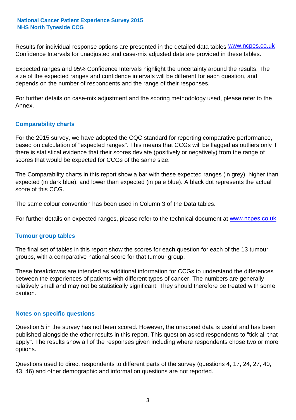Results for individual response options are presented in the detailed data tables **WWW.ncpes.co.uk** Confidence Intervals for unadjusted and case-mix adjusted data are provided in these tables.

Expected ranges and 95% Confidence Intervals highlight the uncertainty around the results. The size of the expected ranges and confidence intervals will be different for each question, and depends on the number of respondents and the range of their responses.

For further details on case-mix adjustment and the scoring methodology used, please refer to the Annex.

#### **Comparability charts**

For the 2015 survey, we have adopted the CQC standard for reporting comparative performance, based on calculation of "expected ranges". This means that CCGs will be flagged as outliers only if there is statistical evidence that their scores deviate (positively or negatively) from the range of scores that would be expected for CCGs of the same size.

The Comparability charts in this report show a bar with these expected ranges (in grey), higher than expected (in dark blue), and lower than expected (in pale blue). A black dot represents the actual score of this CCG.

The same colour convention has been used in Column 3 of the Data tables.

For further details on expected ranges, please refer to the technical document at **www.ncpes.co.uk** 

#### **Tumour group tables**

The final set of tables in this report show the scores for each question for each of the 13 tumour groups, with a comparative national score for that tumour group.

These breakdowns are intended as additional information for CCGs to understand the differences between the experiences of patients with different types of cancer. The numbers are generally relatively small and may not be statistically significant. They should therefore be treated with some caution.

#### **Notes on specific questions**

Question 5 in the survey has not been scored. However, the unscored data is useful and has been published alongside the other results in this report. This question asked respondents to "tick all that apply". The results show all of the responses given including where respondents chose two or more options.

Questions used to direct respondents to different parts of the survey (questions 4, 17, 24, 27, 40, 43, 46) and other demographic and information questions are not reported.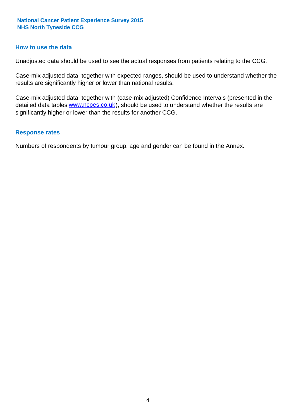#### **How to use the data**

Unadjusted data should be used to see the actual responses from patients relating to the CCG.

Case-mix adjusted data, together with expected ranges, should be used to understand whether the results are significantly higher or lower than national results.

Case-mix adjusted data, together with (case-mix adjusted) Confidence Intervals (presented in the detailed data tables **www.ncpes.co.uk**), should be used to understand whether the results are significantly higher or lower than the results for another CCG.

#### **Response rates**

Numbers of respondents by tumour group, age and gender can be found in the Annex.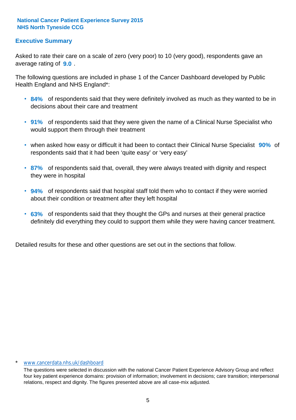#### **Executive Summary**

average rating of **9.0**. Asked to rate their care on a scale of zero (very poor) to 10 (very good), respondents gave an

The following questions are included in phase 1 of the Cancer Dashboard developed by Public Health England and NHS England\*:

- **84%** of respondents said that they were definitely involved as much as they wanted to be in decisions about their care and treatment
- **91%** of respondents said that they were given the name of a Clinical Nurse Specialist who would support them through their treatment
- when asked how easy or difficult it had been to contact their Clinical Nurse Specialist 90% of respondents said that it had been 'quite easy' or 'very easy'
- **87%** of respondents said that, overall, they were always treated with dignity and respect they were in hospital
- **94%** of respondents said that hospital staff told them who to contact if they were worried about their condition or treatment after they left hospital
- **63%** of respondents said that they thought the GPs and nurses at their general practice definitely did everything they could to support them while they were having cancer treatment.

Detailed results for these and other questions are set out in the sections that follow.

#### www.cancerdata.nhs.uk/dashboard

The questions were selected in discussion with the national Cancer Patient Experience Advisory Group and reflect four key patient experience domains: provision of information; involvement in decisions; care transition; interpersonal relations, respect and dignity. The figures presented above are all case-mix adjusted.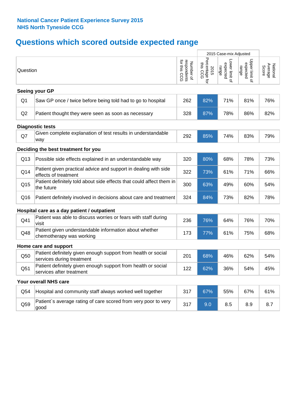## **Questions which scored outside expected range**

|                |                                                                                            |                                          |                                    | 2015 Case-mix Adjusted              |                                     |                              |
|----------------|--------------------------------------------------------------------------------------------|------------------------------------------|------------------------------------|-------------------------------------|-------------------------------------|------------------------------|
| Question       |                                                                                            | respondents<br>for this CCG<br>Number of | Percentage for<br>this CCG<br>2015 | Lower limit of<br>expected<br>range | Upper limit of<br>expected<br>range | National<br>Average<br>Score |
|                | Seeing your GP                                                                             |                                          |                                    |                                     |                                     |                              |
| Q <sub>1</sub> | Saw GP once / twice before being told had to go to hospital                                | 262                                      | 82%                                | 71%                                 | 81%                                 | 76%                          |
| Q2             | Patient thought they were seen as soon as necessary                                        | 328                                      | 87%                                | 78%                                 | 86%                                 | 82%                          |
|                | <b>Diagnostic tests</b>                                                                    |                                          |                                    |                                     |                                     |                              |
| Q7             | Given complete explanation of test results in understandable<br>way                        | 292                                      | 85%                                | 74%                                 | 83%                                 | 79%                          |
|                | Deciding the best treatment for you                                                        |                                          |                                    |                                     |                                     |                              |
| Q13            | Possible side effects explained in an understandable way                                   | 320                                      | 80%                                | 68%                                 | 78%                                 | 73%                          |
| Q14            | Patient given practical advice and support in dealing with side<br>effects of treatment    | 322                                      | 73%                                | 61%                                 | 71%                                 | 66%                          |
| Q15            | Patient definitely told about side effects that could affect them in<br>the future         | 300                                      | 63%                                | 49%                                 | 60%                                 | 54%                          |
| Q16            | Patient definitely involved in decisions about care and treatment                          | 324                                      | 84%                                | 73%                                 | 82%                                 | 78%                          |
|                | Hospital care as a day patient / outpatient                                                |                                          |                                    |                                     |                                     |                              |
| Q41            | Patient was able to discuss worries or fears with staff during<br>visit                    | 236                                      | 76%                                | 64%                                 | 76%                                 | 70%                          |
| Q48            | Patient given understandable information about whether<br>chemotherapy was working         | 173                                      | 77%                                | 61%                                 | 75%                                 | 68%                          |
|                | Home care and support                                                                      |                                          |                                    |                                     |                                     |                              |
| Q50            | Patient definitely given enough support from health or social<br>services during treatment | 201                                      | 68%                                | 46%                                 | 62%                                 | 54%                          |
| Q51            | Patient definitely given enough support from health or social<br>services after treatment  | 122                                      | 62%                                | 36%                                 | 54%                                 | 45%                          |
|                | Your overall NHS care                                                                      |                                          |                                    |                                     |                                     |                              |
| Q54            | Hospital and community staff always worked well together                                   | 317                                      | 67%                                | 55%                                 | 67%                                 | 61%                          |
| Q59            | Patient's average rating of care scored from very poor to very<br>good                     | 317                                      | 9.0                                | 8.5                                 | 8.9                                 | 8.7                          |
|                |                                                                                            |                                          |                                    |                                     |                                     |                              |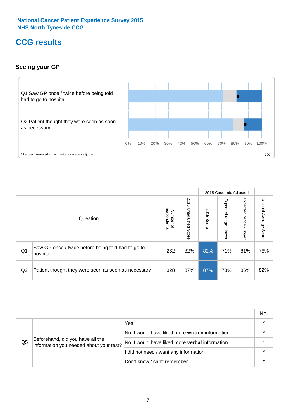### **CCG results**

#### **Seeing your GP**



|    |                                                                |                                              |                             |               | 2015 Case-mix Adjusted     |                            |                           |
|----|----------------------------------------------------------------|----------------------------------------------|-----------------------------|---------------|----------------------------|----------------------------|---------------------------|
|    | Question                                                       | respondents<br>Number<br>$\overline{\sigma}$ | 2015<br>Unadjusted<br>Score | 2015<br>Score | Expected<br>range<br>lower | Expected<br>range<br>nbber | National Average<br>Score |
| Q1 | Saw GP once / twice before being told had to go to<br>hospital | 262                                          | 82%                         | 82%           | 71%                        | 81%                        | 76%                       |
| Q2 | Patient thought they were seen as soon as necessary            | 328                                          | 87%                         | 87%           | 78%                        | 86%                        | 82%                       |

|    |                                                                             |                                                 | No.     |
|----|-----------------------------------------------------------------------------|-------------------------------------------------|---------|
|    | Beforehand, did you have all the<br>information you needed about your test? | Yes                                             | $\star$ |
| Q5 |                                                                             | No, I would have liked more written information |         |
|    |                                                                             | No, I would have liked more verbal information  |         |
|    |                                                                             | I did not need / want any information           |         |
|    |                                                                             | Don't know / can't remember                     |         |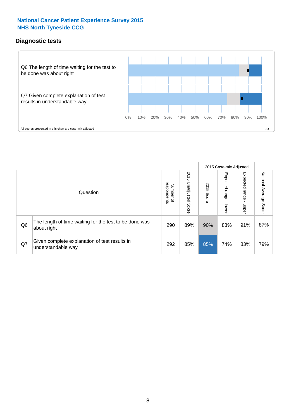#### **Diagnostic tests**



|                |                                                                       |                                       |                             |               | 2015 Case-mix Adjusted  |                         |                           |
|----------------|-----------------------------------------------------------------------|---------------------------------------|-----------------------------|---------------|-------------------------|-------------------------|---------------------------|
|                | Question                                                              | respondents<br>Number<br>$\mathbf{Q}$ | 2015<br>Unadjusted<br>Score | 2015<br>Score | Expected range<br>lower | Expected range<br>nbber | National Average<br>Score |
| Q <sub>6</sub> | The length of time waiting for the test to be done was<br>about right | 290                                   | 89%                         | 90%           | 83%                     | 91%                     | 87%                       |
| Q7             | Given complete explanation of test results in<br>understandable way   | 292                                   | 85%                         | 85%           | 74%                     | 83%                     | 79%                       |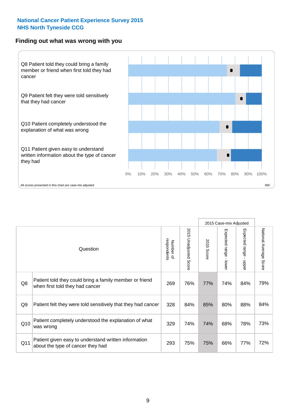#### **Finding out what was wrong with you**



|                |                                                                                            |                          |                       |               | 2015 Case-mix Adjusted    |                                         |                           |
|----------------|--------------------------------------------------------------------------------------------|--------------------------|-----------------------|---------------|---------------------------|-----------------------------------------|---------------------------|
|                | Question                                                                                   | respondents<br>Number of | 2015 Unadjusted Score | 2015<br>Score | Expected range -<br>lower | Expected range<br>$\mathbf{r}$<br>nbber | National Average<br>Score |
| Q8             | Patient told they could bring a family member or friend<br>when first told they had cancer | 269                      | 76%                   | 77%           | 74%                       | 84%                                     | 79%                       |
| Q <sub>9</sub> | Patient felt they were told sensitively that they had cancer                               | 328                      | 84%                   | 85%           | 80%                       | 88%                                     | 84%                       |
| Q10            | Patient completely understood the explanation of what<br>was wrong                         | 329                      | 74%                   | 74%           | 68%                       | 78%                                     | 73%                       |
| Q11            | Patient given easy to understand written information<br>about the type of cancer they had  | 293                      | 75%                   | 75%           | 66%                       | 77%                                     | 72%                       |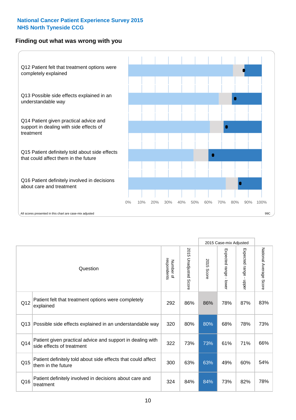#### **Finding out what was wrong with you**



|     |                                                                                         |                          |                       |               | 2015 Case-mix Adjusted                  |                           |                        |
|-----|-----------------------------------------------------------------------------------------|--------------------------|-----------------------|---------------|-----------------------------------------|---------------------------|------------------------|
|     | Question                                                                                | respondents<br>Number of | 2015 Unadjusted Score | 2015<br>Score | Expected range<br>$\mathbf{r}$<br>lower | Expected range -<br>nbber | National Average Score |
| Q12 | Patient felt that treatment options were completely<br>explained                        | 292                      | 86%                   | 86%           | 78%                                     | 87%                       | 83%                    |
| Q13 | Possible side effects explained in an understandable way                                | 320                      | 80%                   | 80%           | 68%                                     | 78%                       | 73%                    |
| Q14 | Patient given practical advice and support in dealing with<br>side effects of treatment | 322                      | 73%                   | 73%           | 61%                                     | 71%                       | 66%                    |
| Q15 | Patient definitely told about side effects that could affect<br>them in the future      | 300                      | 63%                   | 63%           | 49%                                     | 60%                       | 54%                    |
| Q16 | Patient definitely involved in decisions about care and<br>treatment                    | 324                      | 84%                   | 84%           | 73%                                     | 82%                       | 78%                    |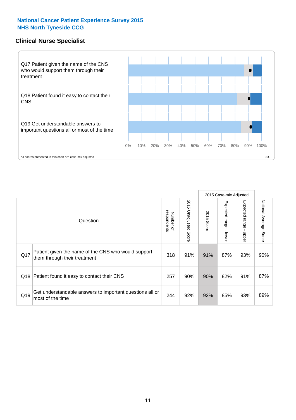#### **Clinical Nurse Specialist**



|     |                                                                                     |                          |                       |               | 2015 Case-mix Adjusted  |                              |                                  |
|-----|-------------------------------------------------------------------------------------|--------------------------|-----------------------|---------------|-------------------------|------------------------------|----------------------------------|
|     | Question                                                                            | respondents<br>Number of | 2015 Unadjusted Score | 2015<br>Score | Expected range<br>lower | Expected<br>l range<br>nbber | National Average<br><b>Score</b> |
| Q17 | Patient given the name of the CNS who would support<br>them through their treatment | 318                      | 91%                   | 91%           | 87%                     | 93%                          | 90%                              |
| Q18 | Patient found it easy to contact their CNS                                          | 257                      | 90%                   | 90%           | 82%                     | 91%                          | 87%                              |
| Q19 | Get understandable answers to important questions all or<br>most of the time        | 244                      | 92%                   | 92%           | 85%                     | 93%                          | 89%                              |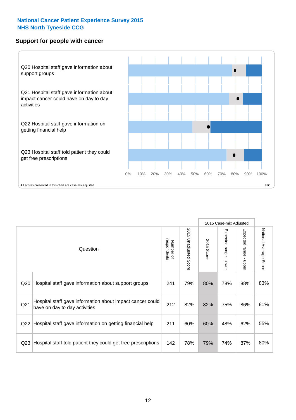#### **Support for people with cancer**



|                 |                                                                                            |                          |                                 |               | 2015 Case-mix Adjusted  |                           |                        |
|-----------------|--------------------------------------------------------------------------------------------|--------------------------|---------------------------------|---------------|-------------------------|---------------------------|------------------------|
|                 | Question                                                                                   | respondents<br>Number of | 2015<br><b>Unadjusted Score</b> | 2015<br>Score | Expected range<br>lower | Expected range<br>- nbber | National Average Score |
| Q20             | Hospital staff gave information about support groups                                       | 241                      | 79%                             | 80%           | 78%                     | 88%                       | 83%                    |
| Q <sub>21</sub> | Hospital staff gave information about impact cancer could<br>have on day to day activities | 212                      | 82%                             | 82%           | 75%                     | 86%                       | 81%                    |
| Q22             | Hospital staff gave information on getting financial help                                  | 211                      | 60%                             | 60%           | 48%                     | 62%                       | 55%                    |
| Q <sub>23</sub> | Hospital staff told patient they could get free prescriptions                              | 142                      | 78%                             | 79%           | 74%                     | 87%                       | 80%                    |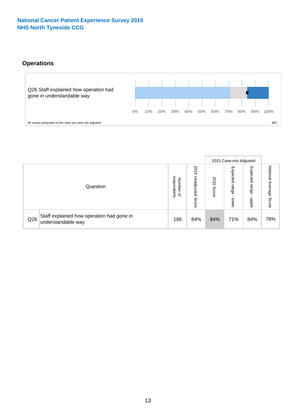#### **Operations**



|     |                                                                 |                                         |                             |               | 2015 Case-mix Adjusted     |                           |                              |
|-----|-----------------------------------------------------------------|-----------------------------------------|-----------------------------|---------------|----------------------------|---------------------------|------------------------------|
|     | Question                                                        | respondents<br>Number<br>$\overline{a}$ | 2015<br>Unadjusted<br>Score | 2015<br>Score | Expected<br>range<br>lower | Expected<br>range<br>ddoe | National<br>Average<br>Score |
| Q26 | Staff explained how operation had gone in<br>understandable way | 166                                     | 84%                         | 84%           | 71%                        | 84%                       | 78%                          |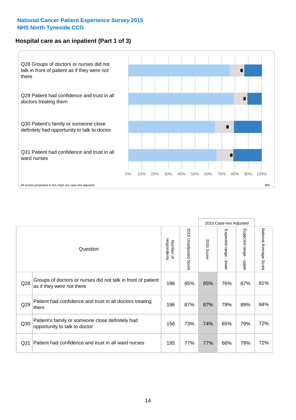#### **Hospital care as an inpatient (Part 1 of 3)**



All scores presented in this chart are case-mix adjusted  $99C$ 

|                 |                                                                                           |                          |                       |               | 2015 Case-mix Adjusted                  |                                           |                        |
|-----------------|-------------------------------------------------------------------------------------------|--------------------------|-----------------------|---------------|-----------------------------------------|-------------------------------------------|------------------------|
|                 | Question                                                                                  | respondents<br>Number of | 2015 Unadjusted Score | 2015<br>Score | Expected range<br>$\mathbf{r}$<br>lower | Expected range<br>$\blacksquare$<br>nbber | National Average Score |
| Q28             | Groups of doctors or nurses did not talk in front of patient<br>as if they were not there | 196                      | 85%                   | 85%           | 76%                                     | 87%                                       | 81%                    |
| Q29             | Patient had confidence and trust in all doctors treating<br>them                          | 196                      | 87%                   | 87%           | 79%                                     | 89%                                       | 84%                    |
| Q30             | Patient's family or someone close definitely had<br>opportunity to talk to doctor         | 156                      | 73%                   | 74%           | 65%                                     | 79%                                       | 72%                    |
| Q <sub>31</sub> | Patient had confidence and trust in all ward nurses                                       | 195                      | 77%                   | 77%           | 66%                                     | 79%                                       | 72%                    |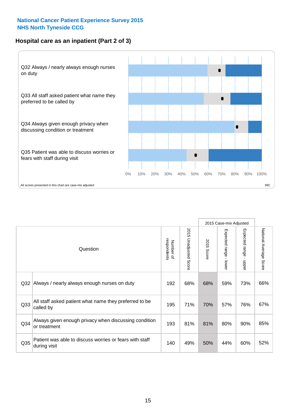#### **Hospital care as an inpatient (Part 2 of 3)**



|                 |                                                                         |                          |                          |            | 2015 Case-mix Adjusted |                                           |                        |
|-----------------|-------------------------------------------------------------------------|--------------------------|--------------------------|------------|------------------------|-------------------------------------------|------------------------|
|                 | Question                                                                | respondents<br>Number of | 2015<br>Unadjusted Score | 2015 Score | Expected range - lower | Expected range<br>$\blacksquare$<br>nbber | National Average Score |
| Q <sub>32</sub> | Always / nearly always enough nurses on duty                            | 192                      | 68%                      | 68%        | 59%                    | 73%                                       | 66%                    |
| Q <sub>33</sub> | All staff asked patient what name they preferred to be<br>called by     | 195                      | 71%                      | 70%        | 57%                    | 76%                                       | 67%                    |
| Q34             | Always given enough privacy when discussing condition<br>or treatment   | 193                      | 81%                      | 81%        | 80%                    | 90%                                       | 85%                    |
| Q35             | Patient was able to discuss worries or fears with staff<br>during visit | 140                      | 49%                      | 50%        | 44%                    | 60%                                       | 52%                    |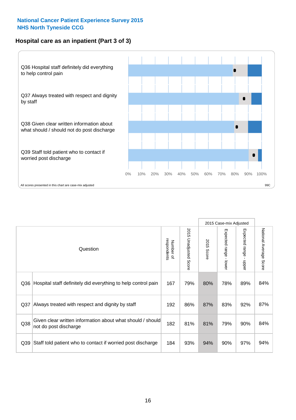#### **Hospital care as an inpatient (Part 3 of 3)**



|                 |                                                                                     |                          |                                 |               | 2015 Case-mix Adjusted  |                           |                        |
|-----------------|-------------------------------------------------------------------------------------|--------------------------|---------------------------------|---------------|-------------------------|---------------------------|------------------------|
|                 | Question                                                                            | respondents<br>Number of | 2015<br><b>Unadjusted Score</b> | 2015<br>Score | Expected range<br>lower | Expected range<br>- nbber | National Average Score |
| Q36             | Hospital staff definitely did everything to help control pain                       | 167                      | 79%                             | 80%           | 78%                     | 89%                       | 84%                    |
| Q <sub>37</sub> | Always treated with respect and dignity by staff                                    | 192                      | 86%                             | 87%           | 83%                     | 92%                       | 87%                    |
| Q38             | Given clear written information about what should / should<br>not do post discharge | 182                      | 81%                             | 81%           | 79%                     | 90%                       | 84%                    |
| Q39             | Staff told patient who to contact if worried post discharge                         | 184                      | 93%                             | 94%           | 90%                     | 97%                       | 94%                    |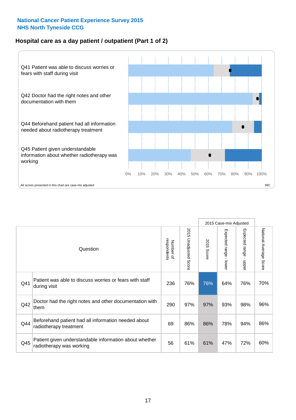#### **Hospital care as a day patient / outpatient (Part 1 of 2)**



|     |                                                                                    |                          |                                 |               | 2015 Case-mix Adjusted                    |                                         |                        |
|-----|------------------------------------------------------------------------------------|--------------------------|---------------------------------|---------------|-------------------------------------------|-----------------------------------------|------------------------|
|     | Question                                                                           | respondents<br>Number of | 2015<br><b>Unadjusted Score</b> | 2015<br>Score | Expected range<br>$\blacksquare$<br>lower | Expected range<br>$\blacksquare$<br>ddo | National Average Score |
| Q41 | Patient was able to discuss worries or fears with staff<br>during visit            | 236                      | 76%                             | 76%           | 64%                                       | 76%                                     | 70%                    |
| Q42 | Doctor had the right notes and other documentation with<br>them                    | 290                      | 97%                             | 97%           | 93%                                       | 98%                                     | 96%                    |
| Q44 | Beforehand patient had all information needed about<br>radiotherapy treatment      | 69                       | 86%                             | 86%           | 78%                                       | 94%                                     | 86%                    |
| Q45 | Patient given understandable information about whether<br>radiotherapy was working | 56                       | 61%                             | 61%           | 47%                                       | 72%                                     | 60%                    |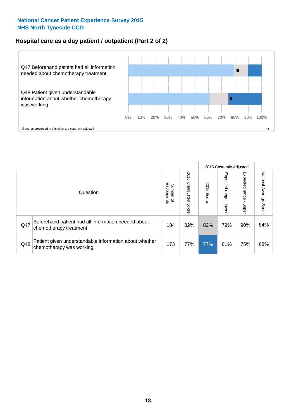#### **Hospital care as a day patient / outpatient (Part 2 of 2)**



|     |                                                                                    |                                       | 2015 Case-mix Adjusted      |               |                              |                         |                           |
|-----|------------------------------------------------------------------------------------|---------------------------------------|-----------------------------|---------------|------------------------------|-------------------------|---------------------------|
|     | Question                                                                           | respondents<br>Number<br>$\mathbf{Q}$ | 2015<br>Unadjusted<br>Score | 2015<br>Score | Expected<br>I range<br>lower | Expected range<br>nbber | National Average<br>Score |
| Q47 | Beforehand patient had all information needed about<br>chemotherapy treatment      | 184                                   | 82%                         | 82%           | 79%                          | 90%                     | 84%                       |
| Q48 | Patient given understandable information about whether<br>chemotherapy was working | 173                                   | 77%                         | 77%           | 61%                          | 75%                     | 68%                       |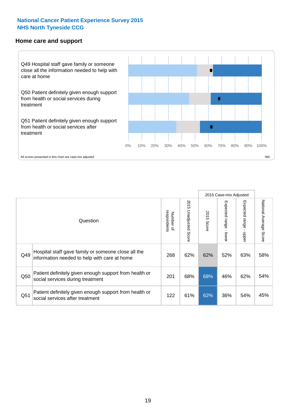#### **Home care and support**



2015 Case-mix Adjusted 2015 Unadjusted Score Expected range - upper National Average Score 2015 Unadjusted Score Expected range - lower National Average Score Expected range - lower Expected range - upper Number of<br>respondents respondents 2015 Score 2015 Score Number of Question Hospital staff gave family or someone close all the  $Q49$  information needed to help with care at home  $Q49$  62% 62% 62% 63% 63% 58% Patient definitely given enough support from health or Q50 social services during treatment 201 | 68% 68% | 46% | 62% | 54% Patient definitely given enough support from health or Q51 social services after treatment 122 | 61% 62% 36% 54% 45%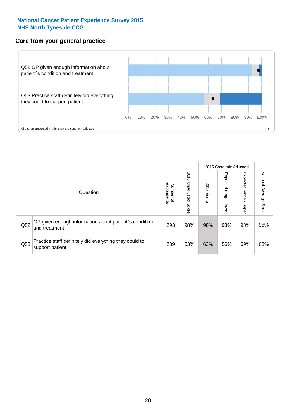#### **Care from your general practice**



|     |                                                                           |                                       |                             |               |                             | 2015 Case-mix Adjusted       |                           |
|-----|---------------------------------------------------------------------------|---------------------------------------|-----------------------------|---------------|-----------------------------|------------------------------|---------------------------|
|     | Question                                                                  | respondents<br>Number<br>$\mathbf{Q}$ | 2015<br>Unadjusted<br>Score | 2015<br>Score | Expected<br>Irange<br>lower | Expected<br>  range<br>doper | National Average<br>Score |
| Q52 | GP given enough information about patient's condition<br>and treatment    | 293                                   | 98%                         | 98%           | 93%                         | 98%                          | 95%                       |
| Q53 | Practice staff definitely did everything they could to<br>support patient | 239                                   | 63%                         | 63%           | 56%                         | 69%                          | 63%                       |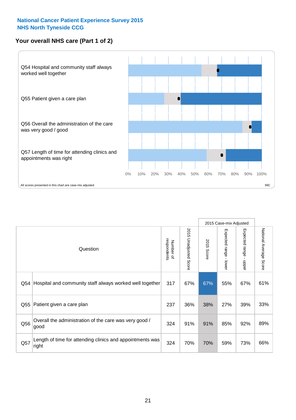#### **Your overall NHS care (Part 1 of 2)**



|     |                                                                    |                          |                          |                      | 2015 Case-mix Adjusted                    |                                           |                        |
|-----|--------------------------------------------------------------------|--------------------------|--------------------------|----------------------|-------------------------------------------|-------------------------------------------|------------------------|
|     | Question                                                           | respondents<br>Number of | 2015<br>Unadjusted Score | 2015<br><b>Score</b> | Expected range<br>$\blacksquare$<br>lower | Expected range<br>$\blacksquare$<br>nbber | National Average Score |
| Q54 | Hospital and community staff always worked well together           | 317                      | 67%                      | 67%                  | 55%                                       | 67%                                       | 61%                    |
| Q55 | Patient given a care plan                                          | 237                      | 36%                      | 38%                  | 27%                                       | 39%                                       | 33%                    |
| Q56 | Overall the administration of the care was very good /<br>good     | 324                      | 91%                      | 91%                  | 85%                                       | 92%                                       | 89%                    |
| Q57 | Length of time for attending clinics and appointments was<br>right | 324                      | 70%                      | 70%                  | 59%                                       | 73%                                       | 66%                    |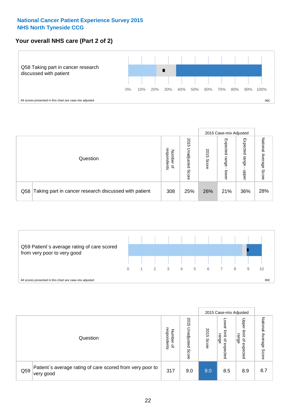#### **Your overall NHS care (Part 2 of 2)**



|     |                                                       |                                              |                             |               |                            | 2015 Case-mix Adjusted     |                        |
|-----|-------------------------------------------------------|----------------------------------------------|-----------------------------|---------------|----------------------------|----------------------------|------------------------|
|     | Question                                              | respondents<br>Number<br>$\overline{\sigma}$ | 2015<br>Unadjusted<br>Score | 2015<br>Score | Expected<br>range<br>lower | Expected<br>range<br>doper | National Average Score |
| Q58 | Taking part in cancer research discussed with patient | 308                                          | 25%                         | 26%           | 21%                        | 36%                        | 28%                    |



|     |                                                                        |                                              | 2015 Case-mix Adjusted      |               |                                           |                                                                 |                              |
|-----|------------------------------------------------------------------------|----------------------------------------------|-----------------------------|---------------|-------------------------------------------|-----------------------------------------------------------------|------------------------------|
|     | Question                                                               | respondents<br>Number<br>$\overline{\sigma}$ | 2015<br>Jnadjusted<br>Score | 2015<br>Score | OWer<br>limit<br>range<br>਼੍ਰ<br>expected | Upper<br>ilmit<br>range<br>$\overline{\mathcal{C}}$<br>expected | National<br>Average<br>Score |
| Q59 | Patient's average rating of care scored from very poor to<br>very good | 317                                          | 9.0                         | 9.0           | 8.5                                       | 8.9                                                             | 8.7                          |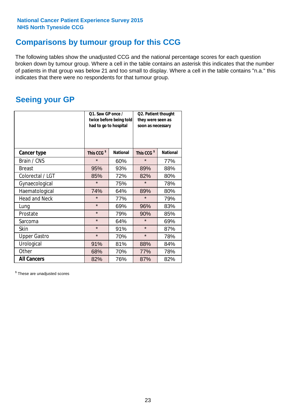### **Comparisons by tumour group for this CCG**

The following tables show the unadjusted CCG and the national percentage scores for each question broken down by tumour group. Where a cell in the table contains an asterisk this indicates that the number of patients in that group was below 21 and too small to display. Where a cell in the table contains "n.a." this indicates that there were no respondents for that tumour group.

### **Seeing your GP**

|                      | Q1. Saw GP once /<br>had to go to hospital | twice before being told | Q2. Patient thought<br>they were seen as<br>soon as necessary |                 |  |
|----------------------|--------------------------------------------|-------------------------|---------------------------------------------------------------|-----------------|--|
| <b>Cancer type</b>   | This CCG <sup>\$</sup>                     | <b>National</b>         | This CCG <sup>\$</sup>                                        | <b>National</b> |  |
| Brain / CNS          | $\star$                                    | 60%                     | $\star$                                                       | 77%             |  |
| <b>Breast</b>        | 95%                                        | 93%                     | 89%                                                           | 88%             |  |
| Colorectal / LGT     | 85%                                        | 72%                     | 82%                                                           | 80%             |  |
| Gynaecological       | $\star$                                    | 75%                     | $\star$                                                       | 78%             |  |
| Haematological       | 74%                                        | 64%                     | 89%                                                           | 80%             |  |
| <b>Head and Neck</b> | $\star$                                    | 77%                     | $\star$                                                       | 79%             |  |
| Lung                 | $\star$                                    | 69%                     | 96%                                                           | 83%             |  |
| Prostate             | $\star$                                    | 79%                     | 90%                                                           | 85%             |  |
| Sarcoma              | $\star$                                    | 64%                     | $\star$                                                       | 69%             |  |
| Skin                 | $\star$                                    | 91%                     | $\star$                                                       | 87%             |  |
| <b>Upper Gastro</b>  | $\star$                                    | 70%                     | $\star$                                                       | 78%             |  |
| Urological           | 91%                                        | 81%                     | 88%                                                           | 84%             |  |
| Other                | 68%                                        | 70%                     | 77%                                                           | 78%             |  |
| <b>All Cancers</b>   | 82%                                        | 76%                     | 87%                                                           | 82%             |  |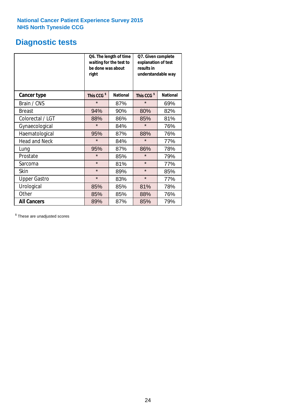## **Diagnostic tests**

|                      | be done was about<br>right | Q6. The length of time<br>waiting for the test to | Q7. Given complete<br>explanation of test<br>results in<br>understandable way |                 |  |  |
|----------------------|----------------------------|---------------------------------------------------|-------------------------------------------------------------------------------|-----------------|--|--|
| <b>Cancer type</b>   | This CCG <sup>\$</sup>     | <b>National</b>                                   | This CCG <sup>\$</sup>                                                        | <b>National</b> |  |  |
| Brain / CNS          | $\star$                    | 87%                                               | $\star$                                                                       | 69%             |  |  |
| <b>Breast</b>        | 94%                        | 90%                                               | 80%                                                                           | 82%             |  |  |
| Colorectal / LGT     | 88%                        | 86%                                               | 85%                                                                           | 81%             |  |  |
| Gynaecological       | $\star$                    | 84%                                               | $\star$                                                                       | 76%             |  |  |
| Haematological       | 95%                        | 87%                                               | 88%                                                                           | 76%             |  |  |
| <b>Head and Neck</b> | $\star$                    | 84%                                               | $\star$                                                                       | 77%             |  |  |
| Lung                 | 95%                        | 87%                                               | 86%                                                                           | 78%             |  |  |
| Prostate             | $\star$                    | 85%                                               | $\star$                                                                       | 79%             |  |  |
| Sarcoma              | $\star$                    | 81%                                               | $\star$                                                                       | 77%             |  |  |
| Skin                 | $\star$                    | 89%                                               | $\star$                                                                       | 85%             |  |  |
| <b>Upper Gastro</b>  | $\star$                    | 83%                                               | $\star$                                                                       | 77%             |  |  |
| Urological           | 85%                        | 85%                                               | 81%                                                                           | 78%             |  |  |
| Other                | 85%<br>85%                 |                                                   | 88%                                                                           | 76%             |  |  |
| <b>All Cancers</b>   | 89%                        | 87%                                               | 85%                                                                           | 79%             |  |  |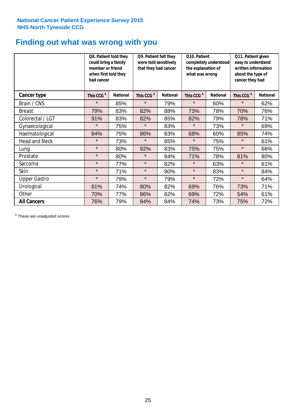### **Finding out what was wrong with you**

|                      | Q8. Patient told they<br>could bring a family<br>member or friend<br>when first told they<br>had cancer |                 | Q9. Patient felt they<br>were told sensitively<br>that they had cancer |                 | Q10. Patient<br>completely understood<br>the explanation of<br>what was wrong |                 | Q11. Patient given<br>easy to understand<br>written information<br>about the type of<br>cancer they had |                 |
|----------------------|---------------------------------------------------------------------------------------------------------|-----------------|------------------------------------------------------------------------|-----------------|-------------------------------------------------------------------------------|-----------------|---------------------------------------------------------------------------------------------------------|-----------------|
| Cancer type          | This CCG <sup>\$</sup>                                                                                  | <b>National</b> | This CCG <sup>\$</sup>                                                 | <b>National</b> | This CCG <sup>\$</sup>                                                        | <b>National</b> | This CCG <sup>\$</sup>                                                                                  | <b>National</b> |
| Brain / CNS          | $\star$                                                                                                 | 85%             | $\star$                                                                | 79%             | $\star$                                                                       | 60%             | $\star$                                                                                                 | 62%             |
| <b>Breast</b>        | 79%                                                                                                     | 83%             | 82%                                                                    | 88%             | 73%                                                                           | 78%             | 70%                                                                                                     | 76%             |
| Colorectal / LGT     | 91%                                                                                                     | 83%             | 82%                                                                    | 85%             | 82%                                                                           | 79%             | 78%                                                                                                     | 71%             |
| Gynaecological       | $\star$                                                                                                 | 75%             | $\star$                                                                | 83%             | $\star$                                                                       | 73%             | $\star$                                                                                                 | 69%             |
| Haematological       | 84%                                                                                                     | 75%             | 86%                                                                    | 83%             | 68%                                                                           | 60%             | 85%                                                                                                     | 74%             |
| <b>Head and Neck</b> | $\star$                                                                                                 | 73%             | $\star$                                                                | 85%             | $\star$                                                                       | 75%             | $\star$                                                                                                 | 61%             |
| Lung                 | $\star$                                                                                                 | 80%             | 92%                                                                    | 83%             | 75%                                                                           | 75%             | $\star$                                                                                                 | 66%             |
| Prostate             | $\star$                                                                                                 | 80%             | $\star$                                                                | 84%             | 71%                                                                           | 78%             | 81%                                                                                                     | 80%             |
| Sarcoma              | $\star$                                                                                                 | 77%             | $\star$                                                                | 82%             | $\star$                                                                       | 63%             | $\star$                                                                                                 | 61%             |
| Skin                 | $\star$                                                                                                 | 71%             | $\star$                                                                | 90%             | $\star$                                                                       | 83%             | $\star$                                                                                                 | 84%             |
| <b>Upper Gastro</b>  | $\star$                                                                                                 | 79%             | $\star$                                                                | 79%             | $\star$                                                                       | 72%             | $\star$                                                                                                 | 64%             |
| Urological           | 61%                                                                                                     | 74%             | 80%                                                                    | 82%             | 69%                                                                           | 76%             | 73%                                                                                                     | 71%             |
| Other                | 70%                                                                                                     | 77%             | 86%                                                                    | 82%             | 69%                                                                           | 72%             | 54%                                                                                                     | 61%             |
| <b>All Cancers</b>   | 76%                                                                                                     | 79%             | 84%                                                                    | 84%             | 74%                                                                           | 73%             | 75%                                                                                                     | 72%             |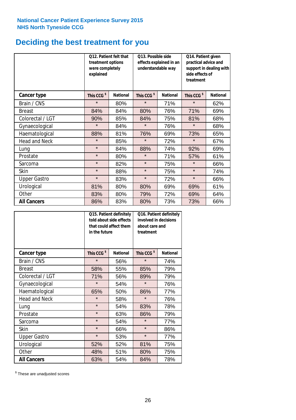### **Deciding the best treatment for you**

|                      | Q12. Patient felt that<br>treatment options<br>were completely<br>explained | Q13. Possible side<br>Q14. Patient given<br>effects explained in an<br>practical advice and<br>understandable way<br>support in dealing with<br>side effects of<br>treatment |                        |                 |                        |                 |
|----------------------|-----------------------------------------------------------------------------|------------------------------------------------------------------------------------------------------------------------------------------------------------------------------|------------------------|-----------------|------------------------|-----------------|
| <b>Cancer type</b>   | This CCG <sup>\$</sup>                                                      | <b>National</b>                                                                                                                                                              | This CCG <sup>\$</sup> | <b>National</b> | This CCG <sup>\$</sup> | <b>National</b> |
| Brain / CNS          | $\star$                                                                     | 80%                                                                                                                                                                          | $\star$                | 71%             | $\star$                | 62%             |
| <b>Breast</b>        | 84%                                                                         | 84%                                                                                                                                                                          | 80%                    | 76%             | 71%                    | 69%             |
| Colorectal / LGT     | 90%                                                                         | 85%                                                                                                                                                                          | 84%                    | 75%             | 81%                    | 68%             |
| Gynaecological       | $\star$                                                                     | 84%                                                                                                                                                                          | $\star$                | 76%             | $\star$                | 68%             |
| Haematological       | 88%                                                                         | 81%                                                                                                                                                                          | 76%                    | 69%             | 73%                    | 65%             |
| <b>Head and Neck</b> | $\star$                                                                     | 85%                                                                                                                                                                          | $\star$                | 72%             | $\star$                | 67%             |
| Lung                 | $\star$                                                                     | 84%                                                                                                                                                                          | 88%                    | 74%             | 92%                    | 69%             |
| Prostate             | $\star$                                                                     | 80%                                                                                                                                                                          | $\star$                | 71%             | 57%                    | 61%             |
| Sarcoma              | $\star$                                                                     | 82%                                                                                                                                                                          | $\star$                | 75%             | $\star$                | 66%             |
| Skin                 | $\star$                                                                     | 88%                                                                                                                                                                          | $\star$                | 75%             | $\star$                | 74%             |
| <b>Upper Gastro</b>  | $\star$                                                                     | 83%                                                                                                                                                                          | $\star$                | 72%             | $\star$                | 66%             |
| Urological           | 81%                                                                         | 80%                                                                                                                                                                          | 80%                    | 69%             | 69%                    | 61%             |
| Other                | 83%                                                                         | 80%                                                                                                                                                                          | 79%                    | 72%             | 69%                    | 64%             |
| <b>All Cancers</b>   | 86%                                                                         | 83%                                                                                                                                                                          | 80%                    | 73%             | 73%                    | 66%             |

|                      | in the future          | Q15. Patient definitely<br>told about side effects<br>that could affect them | Q16. Patient definitely<br>involved in decisions<br>about care and<br>treatment |                 |  |
|----------------------|------------------------|------------------------------------------------------------------------------|---------------------------------------------------------------------------------|-----------------|--|
| <b>Cancer type</b>   | This CCG <sup>\$</sup> | <b>National</b>                                                              | This CCG <sup>\$</sup>                                                          | <b>National</b> |  |
| Brain / CNS          | $\star$                | 56%                                                                          | $\star$                                                                         | 74%             |  |
| <b>Breast</b>        | 58%                    | 55%                                                                          | 85%                                                                             | 79%             |  |
| Colorectal / LGT     | 71%                    | 56%                                                                          | 89%                                                                             | 79%             |  |
| Gynaecological       | $\star$                | 54%                                                                          | $\star$                                                                         | 76%             |  |
| Haematological       | 65%                    | 50%                                                                          |                                                                                 | 77%             |  |
| <b>Head and Neck</b> | $\star$                | 58%                                                                          | $\star$                                                                         | 76%             |  |
| Lung                 | $\star$                | 54%                                                                          | 83%                                                                             | 78%             |  |
| Prostate             | $\star$                | 63%                                                                          | 86%                                                                             | 79%             |  |
| Sarcoma              | $\star$                | 54%                                                                          | $\star$                                                                         | 77%             |  |
| Skin                 | $\star$                | 66%                                                                          | $\star$                                                                         | 86%             |  |
| <b>Upper Gastro</b>  | $\star$                | 53%                                                                          | $\star$                                                                         | 77%             |  |
| Urological           | 52%                    | 52%                                                                          | 81%                                                                             | 75%             |  |
| Other                | 48%                    | 51%                                                                          | 80%                                                                             | 75%             |  |
| <b>All Cancers</b>   | 63%                    | 54%                                                                          | 84%                                                                             | 78%             |  |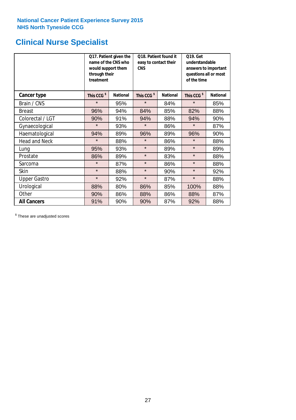## **Clinical Nurse Specialist**

|                      | would support them<br>through their<br>treatment | Q17. Patient given the<br>name of the CNS who | Q18. Patient found it<br>easy to contact their<br><b>CNS</b> |                 | <b>Q19. Get</b><br>understandable<br>answers to important<br>questions all or most<br>of the time |                 |  |
|----------------------|--------------------------------------------------|-----------------------------------------------|--------------------------------------------------------------|-----------------|---------------------------------------------------------------------------------------------------|-----------------|--|
| <b>Cancer type</b>   | This CCG <sup>\$</sup>                           | <b>National</b>                               | This CCG <sup>\$</sup>                                       | <b>National</b> | This CCG <sup>\$</sup>                                                                            | <b>National</b> |  |
| Brain / CNS          | $\star$                                          | 95%                                           | $\star$                                                      | 84%             | $\star$                                                                                           | 85%             |  |
| <b>Breast</b>        | 96%                                              | 94%                                           | 84%                                                          | 85%             | 82%                                                                                               | 88%             |  |
| Colorectal / LGT     | 90%                                              | 91%                                           | 94%                                                          | 88%             | 94%                                                                                               | 90%             |  |
| Gynaecological       | $\star$                                          | 93%                                           | $\star$                                                      | 86%             | $\star$                                                                                           | 87%             |  |
| Haematological       | 94%                                              | 89%                                           | 96%                                                          | 89%             | 96%                                                                                               | 90%             |  |
| <b>Head and Neck</b> | $\star$                                          | 88%                                           | $\star$                                                      | 86%             | $\star$                                                                                           | 88%             |  |
| Lung                 | 95%                                              | 93%                                           | $\star$                                                      | 89%             | $\star$                                                                                           | 89%             |  |
| Prostate             | 86%                                              | 89%                                           | $\star$                                                      | 83%             | $\star$                                                                                           | 88%             |  |
| Sarcoma              | $\star$                                          | 87%                                           | $\star$                                                      | 86%             | $\star$                                                                                           | 88%             |  |
| Skin                 | $\star$                                          | 88%                                           | $\star$                                                      | 90%             | $\star$                                                                                           | 92%             |  |
| <b>Upper Gastro</b>  | $\star$                                          | 92%                                           | $\star$                                                      | 87%             | $\star$                                                                                           | 88%             |  |
| Urological           | 88%                                              | 80%                                           | 86%                                                          | 85%             | 100%                                                                                              | 88%             |  |
| Other                | 90%                                              | 86%                                           | 88%                                                          | 86%             | 88%                                                                                               | 87%             |  |
| <b>All Cancers</b>   | 91%                                              | 90%                                           | 90%                                                          | 87%             | 92%                                                                                               | 88%             |  |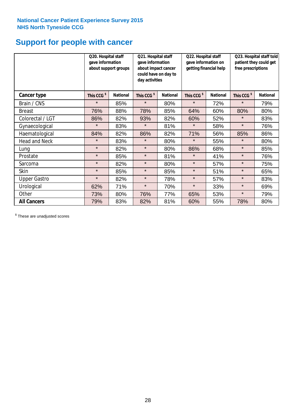## **Support for people with cancer**

|                      | Q20. Hospital staff<br>gave information | about support groups | Q21. Hospital staff<br>gave information<br>about impact cancer<br>could have on day to<br>day activities |                 | Q22. Hospital staff<br>gave information on<br>getting financial help |                 | Q23. Hospital staff told<br>patient they could get<br>free prescriptions |                 |
|----------------------|-----------------------------------------|----------------------|----------------------------------------------------------------------------------------------------------|-----------------|----------------------------------------------------------------------|-----------------|--------------------------------------------------------------------------|-----------------|
| Cancer type          | This CCG <sup>\$</sup>                  | <b>National</b>      | This CCG <sup>\$</sup>                                                                                   | <b>National</b> | This CCG <sup>\$</sup>                                               | <b>National</b> | This CCG <sup>\$</sup>                                                   | <b>National</b> |
| Brain / CNS          | $\star$                                 | 85%                  | $\star$                                                                                                  | 80%             | $\star$                                                              | 72%             | $\star$                                                                  | 79%             |
| <b>Breast</b>        | 76%                                     | 88%                  | 78%                                                                                                      | 85%             | 64%                                                                  | 60%             | 80%                                                                      | 80%             |
| Colorectal / LGT     | 86%                                     | 82%                  | 93%                                                                                                      | 82%             | 60%                                                                  | 52%             | $\star$                                                                  | 83%             |
| Gynaecological       | $\star$                                 | 83%                  | $\star$                                                                                                  | 81%             | $\star$                                                              | 58%             | $\star$                                                                  | 76%             |
| Haematological       | 84%                                     | 82%                  | 86%                                                                                                      | 82%             | 71%                                                                  | 56%             | 85%                                                                      | 86%             |
| <b>Head and Neck</b> | $\star$                                 | 83%                  | $\star$                                                                                                  | 80%             | $\star$                                                              | 55%             | $\star$                                                                  | 80%             |
| Lung                 | $\star$                                 | 82%                  | $\star$                                                                                                  | 80%             | 86%                                                                  | 68%             | $\star$                                                                  | 85%             |
| Prostate             | $\star$                                 | 85%                  | $\star$                                                                                                  | 81%             | $\star$                                                              | 41%             | $\star$                                                                  | 76%             |
| Sarcoma              | $\star$                                 | 82%                  | $\star$                                                                                                  | 80%             | $\star$                                                              | 57%             | $\star$                                                                  | 75%             |
| Skin                 | $\star$                                 | 85%                  | $\star$                                                                                                  | 85%             | $\star$                                                              | 51%             | $\star$                                                                  | 65%             |
| <b>Upper Gastro</b>  | $\star$                                 | 82%                  | $\star$                                                                                                  | 78%             | $\star$                                                              | 57%             | $\star$                                                                  | 83%             |
| Urological           | 62%                                     | 71%                  | $\star$                                                                                                  | 70%             | $\star$                                                              | 33%             | $\star$                                                                  | 69%             |
| Other                | 73%                                     | 80%                  | 76%                                                                                                      | 77%             | 65%                                                                  | 53%             | $\star$                                                                  | 79%             |
| <b>All Cancers</b>   | 79%                                     | 83%                  | 82%                                                                                                      | 81%             | 60%                                                                  | 55%             | 78%                                                                      | 80%             |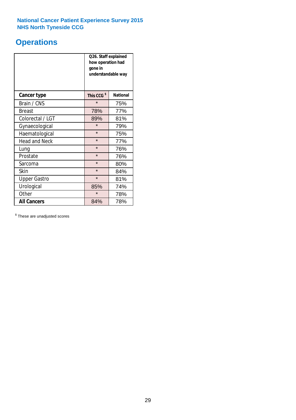### **Operations**

|                      | Q26. Staff explained<br>how operation had<br>gone in<br>understandable way |                 |  |  |  |
|----------------------|----------------------------------------------------------------------------|-----------------|--|--|--|
| <b>Cancer type</b>   | This CCG <sup>\$</sup>                                                     | <b>National</b> |  |  |  |
| Brain / CNS          | $\star$                                                                    | 75%             |  |  |  |
| <b>Breast</b>        | 78%                                                                        | 77%             |  |  |  |
| Colorectal / LGT     | 89%                                                                        | 81%             |  |  |  |
| Gynaecological       | $\star$                                                                    | 79%             |  |  |  |
| Haematological       | $\star$                                                                    | 75%             |  |  |  |
| <b>Head and Neck</b> | $\star$                                                                    | 77%             |  |  |  |
| Lung                 | $\star$                                                                    | 76%             |  |  |  |
| Prostate             | $\star$                                                                    | 76%             |  |  |  |
| Sarcoma              | $\star$                                                                    | 80%             |  |  |  |
| Skin                 | $\star$                                                                    | 84%             |  |  |  |
| <b>Upper Gastro</b>  | $\star$                                                                    | 81%             |  |  |  |
| Urological           | 85%                                                                        | 74%             |  |  |  |
| Other                | $\star$                                                                    | 78%             |  |  |  |
| <b>All Cancers</b>   | 84%                                                                        | 78%             |  |  |  |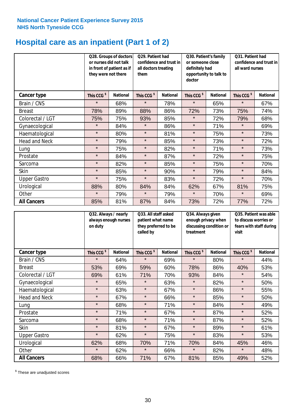### **Hospital care as an inpatient (Part 1 of 2)**

|                      | or nurses did not talk<br>they were not there | Q28. Groups of doctors<br>in front of patient as if | Q29. Patient had<br>confidence and trust in<br>all doctors treating<br>them |                 | Q30. Patient's family<br>or someone close<br>definitely had<br>opportunity to talk to<br>doctor |                 | Q31. Patient had<br>confidence and trust in I<br>all ward nurses |                 |
|----------------------|-----------------------------------------------|-----------------------------------------------------|-----------------------------------------------------------------------------|-----------------|-------------------------------------------------------------------------------------------------|-----------------|------------------------------------------------------------------|-----------------|
| Cancer type          | This CCG <sup>\$</sup>                        | <b>National</b>                                     | This CCG <sup>\$</sup>                                                      | <b>National</b> | This CCG <sup>\$</sup>                                                                          | <b>National</b> | This CCG <sup>\$</sup>                                           | <b>National</b> |
| Brain / CNS          | $\star$                                       | 68%                                                 | $\star$                                                                     | 78%             | $\star$                                                                                         | 65%             | $\star$                                                          | 67%             |
| <b>Breast</b>        | 78%                                           | 89%                                                 | 88%                                                                         | 86%             | 72%                                                                                             | 73%             | 75%                                                              | 74%             |
| Colorectal / LGT     | 75%                                           | 75%                                                 | 93%                                                                         | 85%             | $\star$                                                                                         | 72%             | 79%                                                              | 68%             |
| Gynaecological       | $\star$                                       | 84%                                                 | $\star$                                                                     | 86%             | $\star$                                                                                         | 71%             | $\star$                                                          | 69%             |
| Haematological       | $\star$                                       | 80%                                                 | $\star$                                                                     | 81%             | $\star$                                                                                         | 75%             | $\star$                                                          | 73%             |
| <b>Head and Neck</b> | $\star$                                       | 79%                                                 | $\star$                                                                     | 85%             | $\star$                                                                                         | 73%             | $\star$                                                          | 72%             |
| Lung                 | $\star$                                       | 75%                                                 | $\star$                                                                     | 82%             | $\star$                                                                                         | 71%             | $\star$                                                          | 73%             |
| Prostate             | $\star$                                       | 84%                                                 | $\star$                                                                     | 87%             | $\star$                                                                                         | 72%             | $\star$                                                          | 75%             |
| Sarcoma              | $\star$                                       | 82%                                                 | $\star$                                                                     | 85%             | $\star$                                                                                         | 75%             | $\star$                                                          | 70%             |
| Skin                 | $\star$                                       | 85%                                                 | $\star$                                                                     | 90%             | $\star$                                                                                         | 79%             | $\star$                                                          | 84%             |
| <b>Upper Gastro</b>  | $\star$                                       | 75%                                                 | $\star$                                                                     | 83%             | $\star$                                                                                         | 72%             | $\star$                                                          | 70%             |
| Urological           | 88%                                           | 80%                                                 | 84%                                                                         | 84%             | 62%                                                                                             | 67%             | 81%                                                              | 75%             |
| Other                | $\star$                                       | 79%                                                 | $\star$                                                                     | 79%             | $\star$                                                                                         | 70%             | $\star$                                                          | 69%             |
| <b>All Cancers</b>   | 85%                                           | 81%                                                 | 87%                                                                         | 84%             | 73%                                                                                             | 72%             | 77%                                                              | 72%             |

|                      | Q32. Always / nearly<br>on duty | always enough nurses | Q33. All staff asked<br>patient what name<br>they preferred to be<br>called by |                 | Q34. Always given<br>enough privacy when<br>discussing condition or<br>treatment |                 | Q35. Patient was able<br>to discuss worries or<br>fears with staff during<br>visit |                 |
|----------------------|---------------------------------|----------------------|--------------------------------------------------------------------------------|-----------------|----------------------------------------------------------------------------------|-----------------|------------------------------------------------------------------------------------|-----------------|
| <b>Cancer type</b>   | This CCG <sup>\$</sup>          | <b>National</b>      | This CCG <sup>\$</sup>                                                         | <b>National</b> | This CCG <sup>\$</sup>                                                           | <b>National</b> | This CCG <sup>\$</sup>                                                             | <b>National</b> |
| Brain / CNS          | $\star$                         | 64%                  | $\star$                                                                        | 69%             | $\star$                                                                          | 80%             | $\star$                                                                            | 44%             |
| <b>Breast</b>        | 53%                             | 69%                  | 59%                                                                            | 60%             | 78%                                                                              | 86%             | 40%                                                                                | 53%             |
| Colorectal / LGT     | 69%                             | 61%                  | 71%                                                                            | 70%             | 93%                                                                              | 84%             | $\star$                                                                            | 54%             |
| Gynaecological       | $\star$                         | 65%                  | $\star$                                                                        | 63%             | $\star$                                                                          | 82%             | $\star$                                                                            | 50%             |
| Haematological       | $\star$                         | 63%                  | $\star$                                                                        | 67%             | $\star$                                                                          | 86%             | $\star$                                                                            | 55%             |
| <b>Head and Neck</b> | $\star$                         | 67%                  | $\star$                                                                        | 66%             | $\star$                                                                          | 85%             | $\star$                                                                            | 50%             |
| Lung                 | $\star$                         | 68%                  | $\star$                                                                        | 71%             | $\star$                                                                          | 84%             | $\star$                                                                            | 49%             |
| Prostate             | $\star$                         | 71%                  | $\star$                                                                        | 67%             | $\star$                                                                          | 87%             | $\star$                                                                            | 52%             |
| Sarcoma              | $\star$                         | 68%                  | $\star$                                                                        | 71%             | $\star$                                                                          | 87%             | $\star$                                                                            | 52%             |
| Skin                 | $\star$                         | 81%                  | $\star$                                                                        | 67%             | $\star$                                                                          | 89%             | $\star$                                                                            | 61%             |
| <b>Upper Gastro</b>  | $\star$                         | 62%                  | $\star$                                                                        | 75%             | $\star$                                                                          | 83%             | $\star$                                                                            | 53%             |
| Urological           | 62%                             | 68%                  | 70%                                                                            | 71%             | 70%                                                                              | 84%             | 45%                                                                                | 46%             |
| Other                | $\star$                         | 62%                  | $\star$                                                                        | 66%             | $\star$                                                                          | 82%             | $\star$                                                                            | 48%             |
| <b>All Cancers</b>   | 68%                             | 66%                  | 71%                                                                            | 67%             | 81%                                                                              | 85%             | 49%                                                                                | 52%             |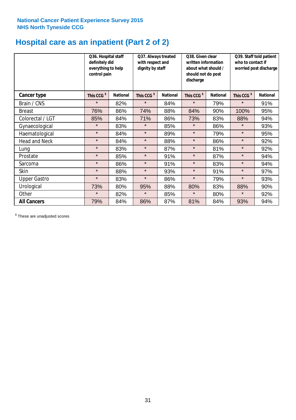### **Hospital care as an inpatient (Part 2 of 2)**

|                      | Q36. Hospital staff<br>definitely did<br>everything to help<br>control pain |                 | Q37. Always treated<br>with respect and<br>dignity by staff |                 | Q38. Given clear<br>written information<br>about what should /<br>should not do post<br>discharge |                 | Q39. Staff told patient<br>who to contact if<br>worried post discharge |                 |
|----------------------|-----------------------------------------------------------------------------|-----------------|-------------------------------------------------------------|-----------------|---------------------------------------------------------------------------------------------------|-----------------|------------------------------------------------------------------------|-----------------|
| Cancer type          | This CCG <sup>\$</sup>                                                      | <b>National</b> | This CCG <sup>\$</sup>                                      | <b>National</b> | This CCG <sup>\$</sup>                                                                            | <b>National</b> | This CCG <sup>\$</sup>                                                 | <b>National</b> |
| Brain / CNS          | $\star$                                                                     | 82%             | $\star$                                                     | 84%             | $\star$                                                                                           | 79%             | $\star$                                                                | 91%             |
| <b>Breast</b>        | 76%                                                                         | 86%             | 74%                                                         | 88%             | 84%                                                                                               | 90%             | 100%                                                                   | 95%             |
| Colorectal / LGT     | 85%                                                                         | 84%             | 71%                                                         | 86%             | 73%                                                                                               | 83%             | 88%                                                                    | 94%             |
| Gynaecological       | $\star$                                                                     | 83%             | $\star$                                                     | 85%             | $\star$                                                                                           | 86%             | $\star$                                                                | 93%             |
| Haematological       | $\star$                                                                     | 84%             | $\star$                                                     | 89%             | $\star$                                                                                           | 79%             | $\star$                                                                | 95%             |
| <b>Head and Neck</b> | $\star$                                                                     | 84%             | $\star$                                                     | 88%             | $\star$                                                                                           | 86%             | $\star$                                                                | 92%             |
| Lung                 | $\star$                                                                     | 83%             | $\star$                                                     | 87%             | $\star$                                                                                           | 81%             | $\star$                                                                | 92%             |
| Prostate             | $\star$                                                                     | 85%             | $\star$                                                     | 91%             | $\star$                                                                                           | 87%             | $\star$                                                                | 94%             |
| Sarcoma              | $\star$                                                                     | 86%             | $\star$                                                     | 91%             | $\star$                                                                                           | 83%             | $\star$                                                                | 94%             |
| Skin                 | $\star$                                                                     | 88%             | $\star$                                                     | 93%             | $\star$                                                                                           | 91%             | $\star$                                                                | 97%             |
| <b>Upper Gastro</b>  | $\star$                                                                     | 83%             | $\star$                                                     | 86%             | $\star$                                                                                           | 79%             | $\star$                                                                | 93%             |
| Urological           | 73%                                                                         | 80%             | 95%                                                         | 88%             | 80%                                                                                               | 83%             | 88%                                                                    | 90%             |
| Other                | $\star$                                                                     | 82%             | $\star$                                                     | 85%             | $\star$                                                                                           | 80%             | $\star$                                                                | 92%             |
| <b>All Cancers</b>   | 79%                                                                         | 84%             | 86%                                                         | 87%             | 81%                                                                                               | 84%             | 93%                                                                    | 94%             |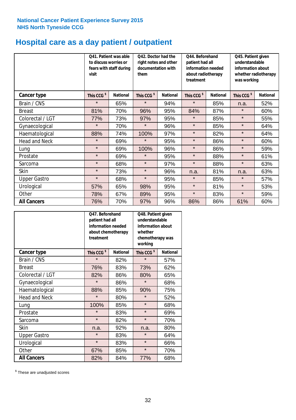## **Hospital care as a day patient / outpatient**

|                      | to discuss worries or<br>visit | Q41. Patient was able<br>fears with staff during | Q42. Doctor had the<br>right notes and other<br>documentation with<br>them |                 | Q44. Beforehand<br>patient had all<br>information needed<br>about radiotherapy<br>treatment |                 | Q45. Patient given<br>understandable<br>information about<br>whether radiotherapy<br>was working |                 |
|----------------------|--------------------------------|--------------------------------------------------|----------------------------------------------------------------------------|-----------------|---------------------------------------------------------------------------------------------|-----------------|--------------------------------------------------------------------------------------------------|-----------------|
| <b>Cancer type</b>   | This CCG <sup>\$</sup>         | <b>National</b>                                  | This CCG <sup>\$</sup>                                                     | <b>National</b> | This CCG <sup>\$</sup>                                                                      | <b>National</b> | This CCG <sup>\$</sup>                                                                           | <b>National</b> |
| Brain / CNS          | $\star$                        | 65%                                              | $\star$                                                                    | 94%             | $\star$                                                                                     | 85%             | n.a.                                                                                             | 52%             |
| <b>Breast</b>        | 81%                            | 70%                                              | 96%                                                                        | 95%             | 84%                                                                                         | 87%             | $\star$                                                                                          | 60%             |
| Colorectal / LGT     | 77%                            | 73%                                              | 97%                                                                        | 95%             | $\star$                                                                                     | 85%             | $\star$                                                                                          | 55%             |
| Gynaecological       | $\star$                        | 70%                                              | $\star$                                                                    | 96%             | $\star$                                                                                     | 85%             | $\star$                                                                                          | 64%             |
| Haematological       | 88%                            | 74%                                              | 100%                                                                       | 97%             | $\star$                                                                                     | 82%             | $\star$                                                                                          | 64%             |
| <b>Head and Neck</b> | $\star$                        | 69%                                              | $\star$                                                                    | 95%             | $\star$                                                                                     | 86%             | $\star$                                                                                          | 60%             |
| Lung                 | $\star$                        | 69%                                              | 100%                                                                       | 96%             | $\star$                                                                                     | 86%             | $\star$                                                                                          | 59%             |
| Prostate             | $\star$                        | 69%                                              | $\star$                                                                    | 95%             | $\star$                                                                                     | 88%             | $\star$                                                                                          | 61%             |
| Sarcoma              | $\star$                        | 68%                                              | $\star$                                                                    | 97%             | $\star$                                                                                     | 88%             | $\star$                                                                                          | 63%             |
| Skin                 | $\star$                        | 73%                                              | $\star$                                                                    | 96%             | n.a.                                                                                        | 81%             | n.a.                                                                                             | 63%             |
| <b>Upper Gastro</b>  | $\star$                        | 68%                                              | $\star$                                                                    | 95%             | $\star$                                                                                     | 85%             | $\star$                                                                                          | 57%             |
| Urological           | 57%                            | 65%                                              | 98%                                                                        | 95%             | $\star$                                                                                     | 81%             | $\star$                                                                                          | 53%             |
| Other                | 78%                            | 67%                                              | 89%                                                                        | 95%             | $\star$                                                                                     | 83%             | $\star$                                                                                          | 59%             |
| <b>All Cancers</b>   | 76%                            | 70%                                              | 97%                                                                        | 96%             | 86%                                                                                         | 86%             | 61%                                                                                              | 60%             |

|                      | O47. Beforehand<br>patient had all<br>information needed<br>treatment | about chemotherapy | Q48. Patient given<br>understandable<br>information about<br>whether<br>chemotherapy was<br>working |                 |  |
|----------------------|-----------------------------------------------------------------------|--------------------|-----------------------------------------------------------------------------------------------------|-----------------|--|
| <b>Cancer type</b>   | This CCG <sup>\$</sup>                                                | <b>National</b>    | This CCG <sup>\$</sup>                                                                              | <b>National</b> |  |
| Brain / CNS          | $\star$                                                               | 82%                | $\star$                                                                                             | 57%             |  |
| <b>Breast</b>        | 76%                                                                   | 83%                | 73%                                                                                                 | 62%             |  |
| Colorectal / LGT     | 82%                                                                   | 86%                | 80%                                                                                                 | 65%             |  |
| Gynaecological       | $\star$                                                               | 86%                | $\star$                                                                                             | 68%             |  |
| Haematological       | 88%                                                                   | 85%                | 90%                                                                                                 | 75%             |  |
| <b>Head and Neck</b> | $\star$                                                               | 80%                | $\star$                                                                                             | 52%             |  |
| Lung                 | 100%                                                                  | 85%                | $\star$                                                                                             | 68%             |  |
| Prostate             | $\star$                                                               | 83%                | $\star$                                                                                             | 69%             |  |
| Sarcoma              | $\star$                                                               | 82%                | $\star$                                                                                             | 70%             |  |
| Skin                 | n.a.                                                                  | 92%                | n.a.                                                                                                | 80%             |  |
| <b>Upper Gastro</b>  | $\star$                                                               | 83%                | $\star$                                                                                             | 64%             |  |
| Urological           | $\star$                                                               | 83%                | $\star$                                                                                             | 66%             |  |
| Other                | 67%                                                                   | 85%                | $\star$                                                                                             | 70%             |  |
| <b>All Cancers</b>   | 82%                                                                   | 84%                | 77%                                                                                                 | 68%             |  |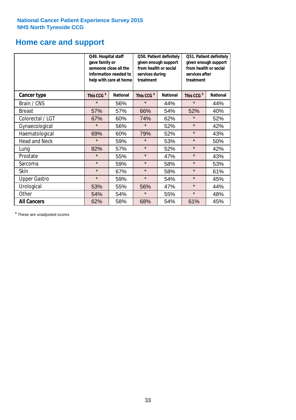### **Home care and support**

|                      | Q49. Hospital staff<br>gave family or | someone close all the<br>information needed to<br>help with care at home | Q50. Patient definitely<br>given enough support<br>from health or social<br>services during<br>treatment |                 | Q51. Patient definitely<br>given enough support<br>from health or social<br>services after<br>treatment |                 |  |
|----------------------|---------------------------------------|--------------------------------------------------------------------------|----------------------------------------------------------------------------------------------------------|-----------------|---------------------------------------------------------------------------------------------------------|-----------------|--|
| <b>Cancer type</b>   | This CCG <sup>\$</sup>                | <b>National</b>                                                          | This CCG <sup>\$</sup>                                                                                   | <b>National</b> | This CCG <sup>\$</sup>                                                                                  | <b>National</b> |  |
| Brain / CNS          | $\star$                               | 56%                                                                      | $\star$                                                                                                  | 44%             | $\star$                                                                                                 | 44%             |  |
| <b>Breast</b>        | 57%                                   | 57%                                                                      | 66%                                                                                                      | 54%             | 52%                                                                                                     | 40%             |  |
| Colorectal / LGT     | 67%                                   | 60%                                                                      | 74%                                                                                                      | 62%             | $\star$                                                                                                 | 52%             |  |
| Gynaecological       | $\star$                               | 56%                                                                      | $\star$                                                                                                  | 52%             | $\star$                                                                                                 | 42%             |  |
| Haematological       | 69%                                   | 60%                                                                      | 79%                                                                                                      | 52%             | $\star$                                                                                                 | 43%             |  |
| <b>Head and Neck</b> | $\star$                               | 59%                                                                      | $\star$                                                                                                  | 53%             | $\star$                                                                                                 | 50%             |  |
| Lung                 | 82%                                   | 57%                                                                      | $\star$                                                                                                  | 52%             | $\star$                                                                                                 | 42%             |  |
| Prostate             | $\star$                               | 55%                                                                      | $\star$                                                                                                  | 47%             | $\star$                                                                                                 | 43%             |  |
| Sarcoma              | $\star$                               | 59%                                                                      | $\star$                                                                                                  | 58%             | $\star$                                                                                                 | 53%             |  |
| Skin                 | $\star$                               | 67%                                                                      | $\star$                                                                                                  | 58%             | $\star$                                                                                                 | 61%             |  |
| <b>Upper Gastro</b>  | $\star$                               | 59%                                                                      | $\star$                                                                                                  | 54%             | $\star$                                                                                                 | 45%             |  |
| Urological           | 53%                                   | 55%                                                                      | 56%                                                                                                      | 47%             | $\star$                                                                                                 | 44%             |  |
| Other                | 54%                                   | 54%                                                                      | $\star$                                                                                                  | 55%             | $\star$                                                                                                 | 48%             |  |
| <b>All Cancers</b>   | 62%                                   | 58%                                                                      | 68%                                                                                                      | 54%             | 61%                                                                                                     | 45%             |  |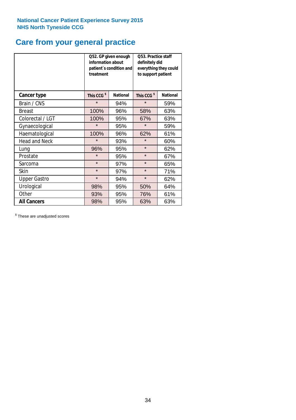# **Care from your general practice**

|                      | information about<br>treatment | Q52. GP given enough<br>patient's condition and | O53. Practice staff<br>definitely did<br>everything they could<br>to support patient |                 |  |
|----------------------|--------------------------------|-------------------------------------------------|--------------------------------------------------------------------------------------|-----------------|--|
| <b>Cancer type</b>   | This CCG <sup>\$</sup>         | <b>National</b>                                 | This CCG <sup>\$</sup>                                                               | <b>National</b> |  |
| Brain / CNS          | $\star$                        | 94%                                             | $\star$                                                                              | 59%             |  |
| <b>Breast</b>        | 100%                           | 96%                                             | 58%                                                                                  | 63%             |  |
| Colorectal / LGT     | 100%                           | 95%                                             | 67%                                                                                  | 63%             |  |
| Gynaecological       | $\star$                        | 95%                                             | $\star$                                                                              | 59%             |  |
| Haematological       | 100%                           | 96%                                             | 62%                                                                                  | 61%             |  |
| <b>Head and Neck</b> | $\star$                        | 93%                                             | $\star$                                                                              | 60%             |  |
| Lung                 | 96%                            | 95%                                             | $\star$                                                                              | 62%             |  |
| Prostate             | $\star$                        | 95%                                             | $\star$                                                                              | 67%             |  |
| Sarcoma              | $\star$                        | 97%                                             | $\star$                                                                              | 65%             |  |
| Skin                 | $\star$                        | 97%                                             | $\star$                                                                              | 71%             |  |
| <b>Upper Gastro</b>  | $\star$                        | 94%                                             | $\star$                                                                              | 62%             |  |
| Urological           | 98%                            | 95%                                             | 50%                                                                                  | 64%             |  |
| Other                | 93%                            | 95%                                             | 76%                                                                                  | 61%             |  |
| <b>All Cancers</b>   | 98%                            | 95%                                             | 63%                                                                                  | 63%             |  |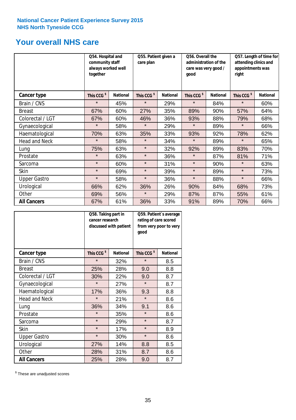### **Your overall NHS care**

|                      | Q54. Hospital and<br>community staff<br>always worked well<br>together |                 | Q55. Patient given a<br>care plan |                 | Q56. Overall the<br>administration of the<br>care was very good /<br>good |                 | Q57. Length of time for<br>attending clinics and<br>appointments was<br>right |                 |
|----------------------|------------------------------------------------------------------------|-----------------|-----------------------------------|-----------------|---------------------------------------------------------------------------|-----------------|-------------------------------------------------------------------------------|-----------------|
| Cancer type          | This CCG <sup>\$</sup>                                                 | <b>National</b> | This CCG <sup>\$</sup>            | <b>National</b> | This CCG <sup>\$</sup>                                                    | <b>National</b> | This CCG <sup>\$</sup>                                                        | <b>National</b> |
| Brain / CNS          | $\star$                                                                | 45%             | $\star$                           | 29%             | $\star$                                                                   | 84%             | $\star$                                                                       | 60%             |
| <b>Breast</b>        | 67%                                                                    | 60%             | 27%                               | 35%             | 89%                                                                       | 90%             | 57%                                                                           | 64%             |
| Colorectal / LGT     | 67%                                                                    | 60%             | 46%                               | 36%             | 93%                                                                       | 88%             | 79%                                                                           | 68%             |
| Gynaecological       | $\star$                                                                | 58%             | $\star$                           | 29%             | $\star$                                                                   | 89%             | $\star$                                                                       | 66%             |
| Haematological       | 70%                                                                    | 63%             | 35%                               | 33%             | 93%                                                                       | 92%             | 78%                                                                           | 62%             |
| <b>Head and Neck</b> | $\star$                                                                | 58%             | $\star$                           | 34%             | $\star$                                                                   | 89%             | $\star$                                                                       | 65%             |
| Lung                 | 75%                                                                    | 63%             | $\star$                           | 32%             | 92%                                                                       | 89%             | 83%                                                                           | 70%             |
| Prostate             | $\star$                                                                | 63%             | $\star$                           | 36%             | $\star$                                                                   | 87%             | 81%                                                                           | 71%             |
| Sarcoma              | $\star$                                                                | 60%             | $\star$                           | 31%             | $\star$                                                                   | 90%             | $\star$                                                                       | 63%             |
| Skin                 | $\star$                                                                | 69%             | $\star$                           | 39%             | $\star$                                                                   | 89%             | $\star$                                                                       | 73%             |
| <b>Upper Gastro</b>  | $\star$                                                                | 58%             | $\star$                           | 36%             | $\star$                                                                   | 88%             | $\star$                                                                       | 66%             |
| Urological           | 66%                                                                    | 62%             | 36%                               | 26%             | 90%                                                                       | 84%             | 68%                                                                           | 73%             |
| Other                | 69%                                                                    | 56%             | $\star$                           | 29%             | 87%                                                                       | 87%             | 55%                                                                           | 61%             |
| <b>All Cancers</b>   | 67%                                                                    | 61%             | 36%                               | 33%             | 91%                                                                       | 89%             | 70%                                                                           | 66%             |

|                      | Q58. Taking part in<br>cancer research | discussed with patient | Q59. Patient's average<br>rating of care scored<br>from very poor to very<br>good |                 |  |
|----------------------|----------------------------------------|------------------------|-----------------------------------------------------------------------------------|-----------------|--|
| <b>Cancer type</b>   | This CCG <sup>\$</sup>                 | <b>National</b>        | This CCG <sup>\$</sup>                                                            | <b>National</b> |  |
| Brain / CNS          | $\star$                                | 32%                    | $\star$                                                                           | 8.5             |  |
| <b>Breast</b>        | 25%                                    | 28%                    | 9.0                                                                               | 8.8             |  |
| Colorectal / LGT     | 30%                                    | 22%                    | 9.0                                                                               | 8.7             |  |
| Gynaecological       | $\star$                                | 27%                    | $\star$                                                                           | 8.7             |  |
| Haematological       | 17%                                    | 36%                    | 9.3                                                                               | 8.8             |  |
| <b>Head and Neck</b> | $\star$                                | 21%                    | $\star$                                                                           | 8.6             |  |
| Lung                 | 36%                                    | 34%                    | 9.1                                                                               | 8.6             |  |
| Prostate             | $\star$                                | 35%                    | $\star$                                                                           | 8.6             |  |
| Sarcoma              | $\star$                                | 29%                    | $\star$                                                                           | 8.7             |  |
| Skin                 | $\star$                                | 17%                    | $\star$                                                                           | 8.9             |  |
| <b>Upper Gastro</b>  | $\star$                                | 30%                    | $\star$                                                                           | 8.6             |  |
| Urological           | 27%                                    | 14%                    | 8.8                                                                               | 8.5             |  |
| Other                | 28%                                    | 31%                    | 8.7                                                                               | 8.6             |  |
| <b>All Cancers</b>   | 25%                                    | 28%                    | 9.0                                                                               | 8.7             |  |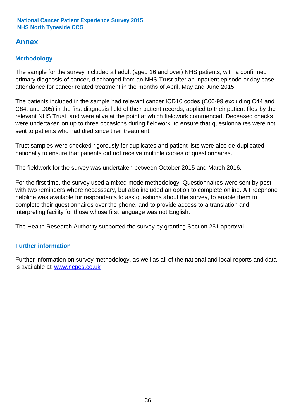### **Annex**

#### **Methodology**

The sample for the survey included all adult (aged 16 and over) NHS patients, with a confirmed primary diagnosis of cancer, discharged from an NHS Trust after an inpatient episode or day case attendance for cancer related treatment in the months of April, May and June 2015.

The patients included in the sample had relevant cancer ICD10 codes (C00-99 excluding C44 and C84, and D05) in the first diagnosis field of their patient records, applied to their patient files by the relevant NHS Trust, and were alive at the point at which fieldwork commenced. Deceased checks were undertaken on up to three occasions during fieldwork, to ensure that questionnaires were not sent to patients who had died since their treatment.

Trust samples were checked rigorously for duplicates and patient lists were also de-duplicated nationally to ensure that patients did not receive multiple copies of questionnaires.

The fieldwork for the survey was undertaken between October 2015 and March 2016.

For the first time, the survey used a mixed mode methodology. Questionnaires were sent by post with two reminders where necesssary, but also included an option to complete online. A Freephone helpline was available for respondents to ask questions about the survey, to enable them to complete their questionnaires over the phone, and to provide access to a translation and interpreting facility for those whose first language was not English.

The Health Research Authority supported the survey by granting Section 251 approval.

#### **Further information**

Further information on survey methodology, as well as all of the national and local reports and data, is available at www.ncpes.co.uk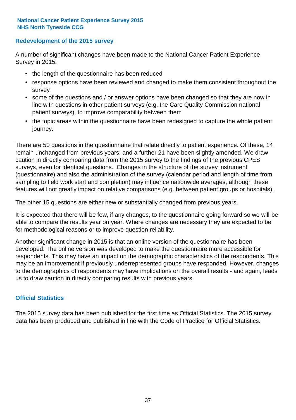#### **Redevelopment of the 2015 survey**

A number of significant changes have been made to the National Cancer Patient Experience Survey in 2015:

- the length of the questionnaire has been reduced
- response options have been reviewed and changed to make them consistent throughout the survey
- some of the questions and / or answer options have been changed so that they are now in line with questions in other patient surveys (e.g. the Care Quality Commission national patient surveys), to improve comparability between them
- the topic areas within the questionnaire have been redesigned to capture the whole patient journey.

There are 50 questions in the questionnaire that relate directly to patient experience. Of these, 14 remain unchanged from previous years; and a further 21 have been slightly amended. We draw caution in directly comparing data from the 2015 survey to the findings of the previous CPES surveys, even for identical questions. Changes in the structure of the survey instrument (questionnaire) and also the administration of the survey (calendar period and length of time from sampling to field work start and completion) may influence nationwide averages, although these features will not greatly impact on relative comparisons (e.g. between patient groups or hospitals).

The other 15 questions are either new or substantially changed from previous years.

It is expected that there will be few, if any changes, to the questionnaire going forward so we will be able to compare the results year on year. Where changes are necessary they are expected to be for methodological reasons or to improve question reliability.

Another significant change in 2015 is that an online version of the questionnaire has been developed. The online version was developed to make the questionnaire more accessible for respondents. This may have an impact on the demographic characteristics of the respondents. This may be an improvement if previously underrepresented groups have responded. However, changes to the demographics of respondents may have implications on the overall results - and again, leads us to draw caution in directly comparing results with previous years.

#### **Official Statistics**

The 2015 survey data has been published for the first time as Official Statistics. The 2015 survey data has been produced and published in line with the Code of Practice for Official Statistics.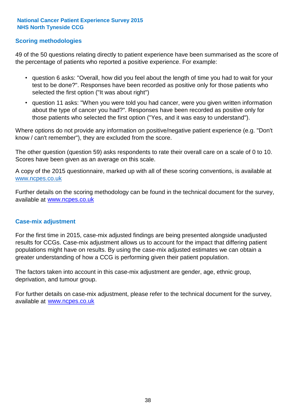#### **Scoring methodologies**

49 of the 50 questions relating directly to patient experience have been summarised as the score of the percentage of patients who reported a positive experience. For example:

- question 6 asks: "Overall, how did you feel about the length of time you had to wait for your test to be done?". Responses have been recorded as positive only for those patients who selected the first option ("It was about right")
- question 11 asks: "When you were told you had cancer, were you given written information about the type of cancer you had?". Responses have been recorded as positive only for those patients who selected the first option ("Yes, and it was easy to understand").

Where options do not provide any information on positive/negative patient experience (e.g. "Don't know / can't remember"), they are excluded from the score.

The other question (question 59) asks respondents to rate their overall care on a scale of 0 to 10. Scores have been given as an average on this scale.

A copy of the 2015 questionnaire, marked up with all of these scoring conventions, is available at www.ncpes.co.uk

Further details on the scoring methodology can be found in the technical document for the survey, available at <u>www.ncpes.co.uk</u>

#### **Case-mix adjustment**

For the first time in 2015, case-mix adjusted findings are being presented alongside unadjusted results for CCGs. Case-mix adjustment allows us to account for the impact that differing patient populations might have on results. By using the case-mix adjusted estimates we can obtain a greater understanding of how a CCG is performing given their patient population.

The factors taken into account in this case-mix adjustment are gender, age, ethnic group, deprivation, and tumour group.

For further details on case-mix adjustment, please refer to the technical document for the survey, available at www.ncpes.co.uk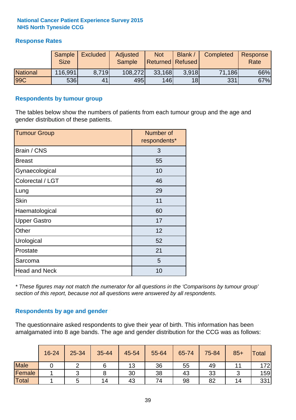#### **Response Rates**

|                 | <b>Sample</b><br><b>Size</b> | <b>Excluded</b> | Adjusted<br><b>Sample</b> | <b>Not</b><br><b>Returned Refused</b> | <b>Blank</b> | Completed | Response<br>Rate |
|-----------------|------------------------------|-----------------|---------------------------|---------------------------------------|--------------|-----------|------------------|
| <b>National</b> | 116,991                      | 8.719           | 108,272                   | 33,168                                | 3.918        | 71,186    | 66%              |
| <b>99C</b>      | 536                          | 41              | 495                       | <b>146</b>                            | 18           | 331       | 67%              |

#### **Respondents by tumour group**

The tables below show the numbers of patients from each tumour group and the age and gender distribution of these patients.

| <b>Tumour Group</b>  | Number of<br>respondents* |
|----------------------|---------------------------|
| Brain / CNS          | 3                         |
| <b>Breast</b>        | 55                        |
| Gynaecological       | 10                        |
| Colorectal / LGT     | 46                        |
| Lung                 | 29                        |
| <b>Skin</b>          | 11                        |
| Haematological       | 60                        |
| <b>Upper Gastro</b>  | 17                        |
| Other                | 12                        |
| Urological           | 52                        |
| Prostate             | 21                        |
| Sarcoma              | 5                         |
| <b>Head and Neck</b> | 10                        |

*\* These figures may not match the numerator for all questions in the 'Comparisons by tumour group' section of this report, because not all questions were answered by all respondents.*

#### **Respondents by age and gender**

The questionnaire asked respondents to give their year of birth. This information has been amalgamated into 8 age bands. The age and gender distribution for the CCG was as follows:

|             | 16-24 | $25 - 34$ | 35-44 | 45-54 | 55-64 | 65-74 | 75-84 | $85+$ | <b>Total</b> |
|-------------|-------|-----------|-------|-------|-------|-------|-------|-------|--------------|
| <b>Male</b> |       |           |       | 13    | 36    | 55    | 49    |       | 1721         |
| Female      |       |           |       | 30    | 38    | 43    | 33    |       | 159          |
| Total       |       |           | 14    | 43    | 74    | 98    | 82    | 14    | 331          |